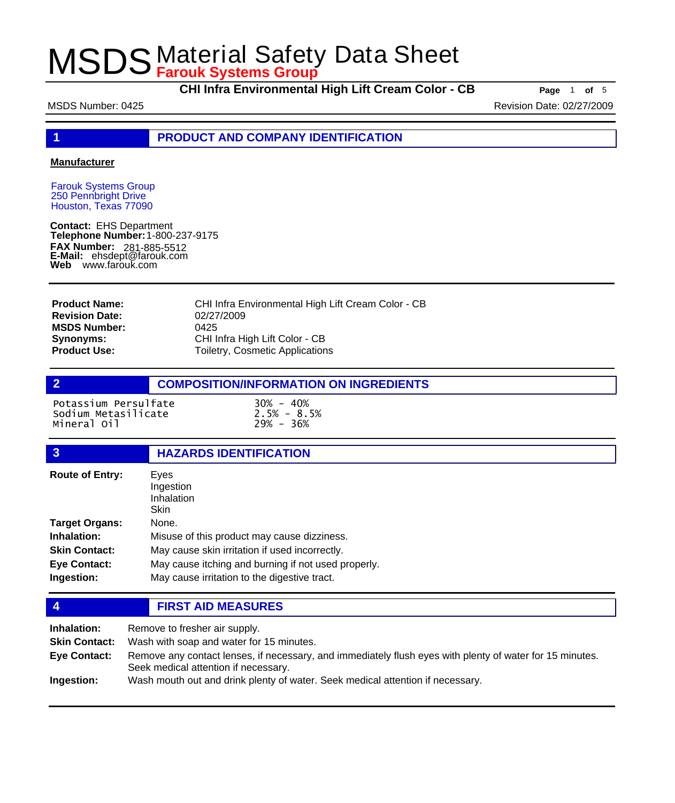**CHI Infra Environmental High Lift Cream Color - CB Page** <sup>1</sup> **of** <sup>5</sup>

MSDS Number: 0425 **Revision Date: 02/27/2009** Revision Date: 02/27/2009

**1 PRODUCT AND COMPANY IDENTIFICATION**

### **Manufacturer**

Farouk Systems Group 250 Pennbright Drive Houston, Texas 77090

**Contact:** EHS Department **Telephone Number:** 1-800-237-9175 **FAX Number: FAX Number:** 281-885-5512<br>**E-Mail:** ehsdept@farouk.com **Web** www.farouk.com

CHI Infra Environmental High Lift Cream Color - CB 02/27/2009 0425 CHI Infra High Lift Color - CB Toiletry, Cosmetic Applications **Product Name: Revision Date: MSDS Number: Synonyms: Product Use:**

## **2 COMPOSITION/INFORMATION ON INGREDIENTS**

Potassium Persulfate 30% - 40% Sodium Metasilicate 2.5% - 8.5% Mineral 0il

## **3 HAZARDS IDENTIFICATION**

| <b>Route of Entry:</b> | Eyes<br>Ingestion<br>Inhalation<br>Skin             |
|------------------------|-----------------------------------------------------|
| <b>Target Organs:</b>  | None.                                               |
| Inhalation:            | Misuse of this product may cause dizziness.         |
| <b>Skin Contact:</b>   | May cause skin irritation if used incorrectly.      |
| <b>Eye Contact:</b>    | May cause itching and burning if not used properly. |
| Ingestion:             | May cause irritation to the digestive tract.        |

### **4 FIRST AID MEASURES**

| Inhalation:          | Remove to fresher air supply.                                                                                                                    |
|----------------------|--------------------------------------------------------------------------------------------------------------------------------------------------|
| <b>Skin Contact:</b> | Wash with soap and water for 15 minutes.                                                                                                         |
| <b>Eve Contact:</b>  | Remove any contact lenses, if necessary, and immediately flush eyes with plenty of water for 15 minutes.<br>Seek medical attention if necessary. |
| Ingestion:           | Wash mouth out and drink plenty of water. Seek medical attention if necessary.                                                                   |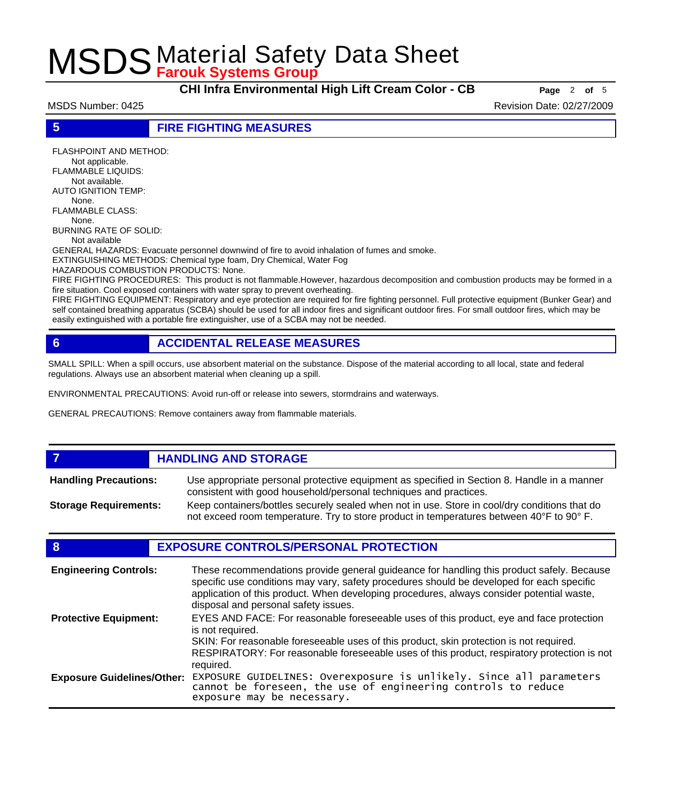**CHI Infra Environmental High Lift Cream Color - CB Page** <sup>2</sup> **of** <sup>5</sup>

MSDS Number: 0425 Revision Date: 02/27/2009

**5 FIRE FIGHTING MEASURES**

FLASHPOINT AND METHOD: Not applicable. FLAMMABLE LIQUIDS: Not available. AUTO IGNITION TEMP: None. FLAMMABLE CLASS: None. BURNING RATE OF SOLID: Not available

GENERAL HAZARDS: Evacuate personnel downwind of fire to avoid inhalation of fumes and smoke.

EXTINGUISHING METHODS: Chemical type foam, Dry Chemical, Water Fog

HAZARDOUS COMBUSTION PRODUCTS: None.

FIRE FIGHTING PROCEDURES: This product is not flammable.However, hazardous decomposition and combustion products may be formed in a fire situation. Cool exposed containers with water spray to prevent overheating.

FIRE FIGHTING EQUIPMENT: Respiratory and eye protection are required for fire fighting personnel. Full protective equipment (Bunker Gear) and self contained breathing apparatus (SCBA) should be used for all indoor fires and significant outdoor fires. For small outdoor fires, which may be easily extinguished with a portable fire extinguisher, use of a SCBA may not be needed.

## **6 ACCIDENTAL RELEASE MEASURES**

SMALL SPILL: When a spill occurs, use absorbent material on the substance. Dispose of the material according to all local, state and federal regulations. Always use an absorbent material when cleaning up a spill.

ENVIRONMENTAL PRECAUTIONS: Avoid run-off or release into sewers, stormdrains and waterways.

GENERAL PRECAUTIONS: Remove containers away from flammable materials.

### *HANDLING AND STORAGE* Use appropriate personal protective equipment as specified in Section 8. Handle in a manner consistent with good household/personal techniques and practices. **Handling Precautions:** Keep containers/bottles securely sealed when not in use. Store in cool/dry conditions that do not exceed room temperature. Try to store product in temperatures between 40°F to 90° F. **Storage Requirements:**

## **8 EXPOSURE CONTROLS/PERSONAL PROTECTION**

| <b>Engineering Controls:</b>      | These recommendations provide general guideance for handling this product safely. Because<br>specific use conditions may vary, safety procedures should be developed for each specific<br>application of this product. When developing procedures, always consider potential waste,<br>disposal and personal safety issues. |
|-----------------------------------|-----------------------------------------------------------------------------------------------------------------------------------------------------------------------------------------------------------------------------------------------------------------------------------------------------------------------------|
| <b>Protective Equipment:</b>      | EYES AND FACE: For reasonable foreseeable uses of this product, eye and face protection<br>is not required.<br>SKIN: For reasonable foreseeable uses of this product, skin protection is not required.<br>RESPIRATORY: For reasonable foreseeable uses of this product, respiratory protection is not<br>required.          |
| <b>Exposure Guidelines/Other:</b> | EXPOSURE GUIDELINES: Overexposure is unlikely. Since all parameters cannot be foreseen, the use of engineering controls to reduce<br>exposure may be necessary.                                                                                                                                                             |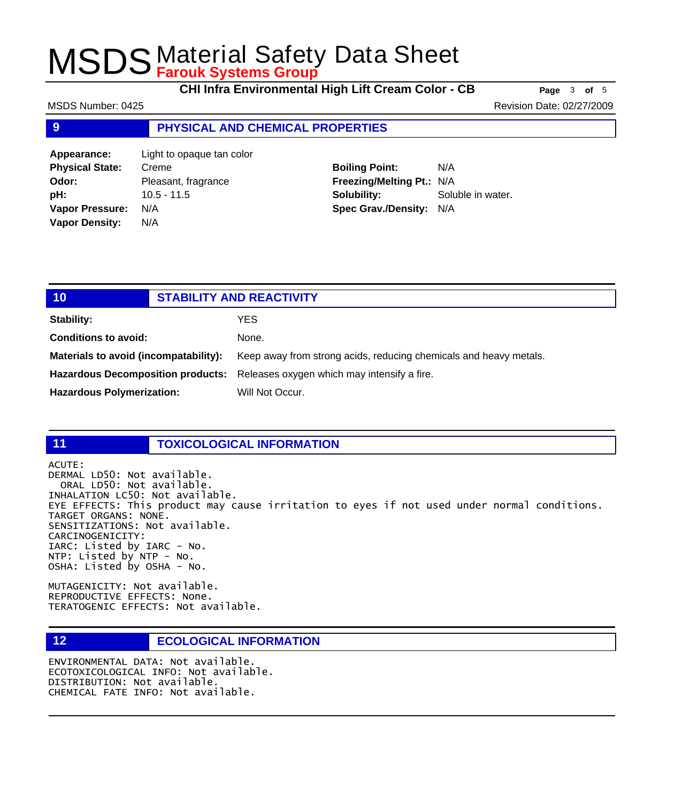**CHI Infra Environmental High Lift Cream Color - CB Page** <sup>3</sup> **of** <sup>5</sup>

MSDS Number: 0425 **Revision Date: 02/27/2009** Revision Date: 02/27/2009

## **9 PHYSICAL AND CHEMICAL PROPERTIES**

| Appearance:            | Light to opaque tan color |
|------------------------|---------------------------|
| <b>Physical State:</b> | Creme                     |
| Odor:                  | Pleasant, fragrance       |
| pH:                    | $10.5 - 11.5$             |
| <b>Vapor Pressure:</b> | N/A                       |
| <b>Vapor Density:</b>  | N/A                       |
|                        |                           |

**Boiling Point:** N/A **Freezing/Melting Pt.:** N/A **Solubility:** Soluble in water. **Spec Grav./Density:** N/A

| 10                                    | <b>STABILITY AND REACTIVITY</b> |                                                                               |
|---------------------------------------|---------------------------------|-------------------------------------------------------------------------------|
| Stability:                            |                                 | YES                                                                           |
| <b>Conditions to avoid:</b>           |                                 | None.                                                                         |
| Materials to avoid (incompatability): |                                 | Keep away from strong acids, reducing chemicals and heavy metals.             |
|                                       |                                 | Hazardous Decomposition products: Releases oxygen which may intensify a fire. |
| <b>Hazardous Polymerization:</b>      |                                 | Will Not Occur.                                                               |
|                                       |                                 |                                                                               |

### **11 TOXICOLOGICAL INFORMATION**

ACUTE:

DERMAL LD50: Not available. ORAL LD50: Not available. INHALATION LC50: Not available. EYE EFFECTS: This product may cause irritation to eyes if not used under normal conditions. TARGET ORGANS: NONE. SENSITIZATIONS: Not available. CARCINOGENICITY: IARC: Listed by IARC - No. NTP: Listed by NTP - No. OSHA: Listed by OSHA - No.

MUTAGENICITY: Not available. REPRODUCTIVE EFFECTS: None. TERATOGENIC EFFECTS: Not available.

## **12 ECOLOGICAL INFORMATION**

ENVIRONMENTAL DATA: Not available. ECOTOXICOLOGICAL INFO: Not available. DISTRIBUTION: Not available. CHEMICAL FATE INFO: Not available.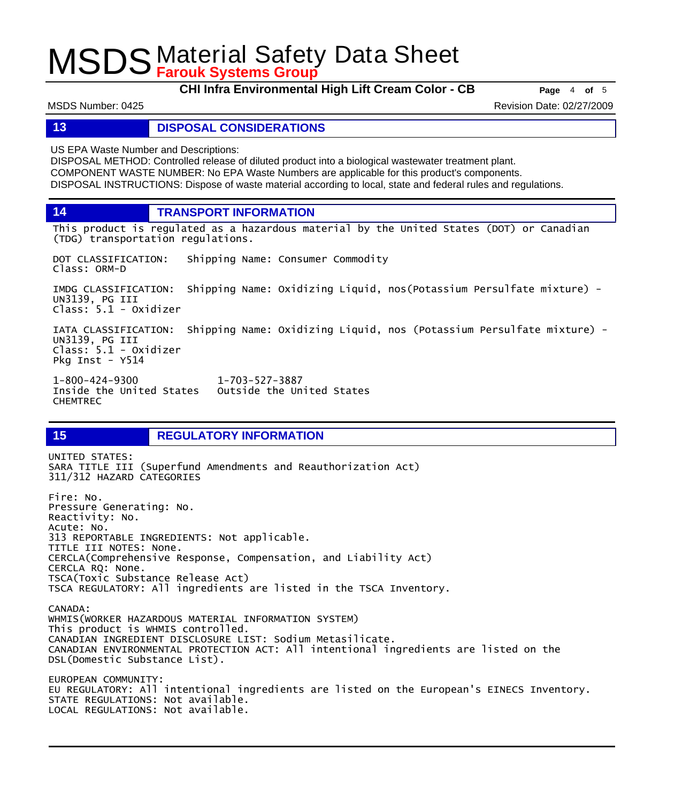**CHI Infra Environmental High Lift Cream Color - CB Page** <sup>4</sup> **of** <sup>5</sup>

MSDS Number: 0425 Revision Date: 02/27/2009

### **13 DISPOSAL CONSIDERATIONS**

US EPA Waste Number and Descriptions:

DISPOSAL METHOD: Controlled release of diluted product into a biological wastewater treatment plant. COMPONENT WASTE NUMBER: No EPA Waste Numbers are applicable for this product's components. DISPOSAL INSTRUCTIONS: Dispose of waste material according to local, state and federal rules and regulations.

**14 TRANSPORT INFORMATION**

This product is regulated as a hazardous material by the United States (DOT) or Canadian (TDG) transportation regulations.

DOT CLASSIFICATION: Shipping Name: Consumer Commodity Class: ORM-D

IMDG CLASSIFICATION: Shipping Name: Oxidizing Liquid, nos(Potassium Persulfate mixture) - UN3139, PG III Class: 5.1 - Oxidizer

IATA CLASSIFICATION: Shipping Name: Oxidizing Liquid, nos (Potassium Persulfate mixture) - UN3139, PG III Class: 5.1 - Oxidizer Pkg Inst - Y514

1-800-424-9300 1-703-527-3887 Outside the United States CHEMTREC

## **15 REGULATORY INFORMATION**

UNITED STATES: SARA TITLE III (Superfund Amendments and Reauthorization Act) 311/312 HAZARD CATEGORIES Fire: No. Pressure Generating: No. Reactivity: No. Acute: No. 313 REPORTABLE INGREDIENTS: Not applicable. TITLE III NOTES: None. CERCLA(Comprehensive Response, Compensation, and Liability Act) CERCLA RQ: None. TSCA(Toxic Substance Release Act) TSCA REGULATORY: All ingredients are listed in the TSCA Inventory. CANADA: WHMIS(WORKER HAZARDOUS MATERIAL INFORMATION SYSTEM) This product is WHMIS controlled. CANADIAN INGREDIENT DISCLOSURE LIST: Sodium Metasilicate. CANADIAN ENVIRONMENTAL PROTECTION ACT: All intentional ingredients are listed on the DSL(Domestic Substance List). EUROPEAN COMMUNITY: EU REGULATORY: All intentional ingredients are listed on the European's EINECS Inventory. STATE REGULATIONS: Not available. LOCAL REGULATIONS: Not available.